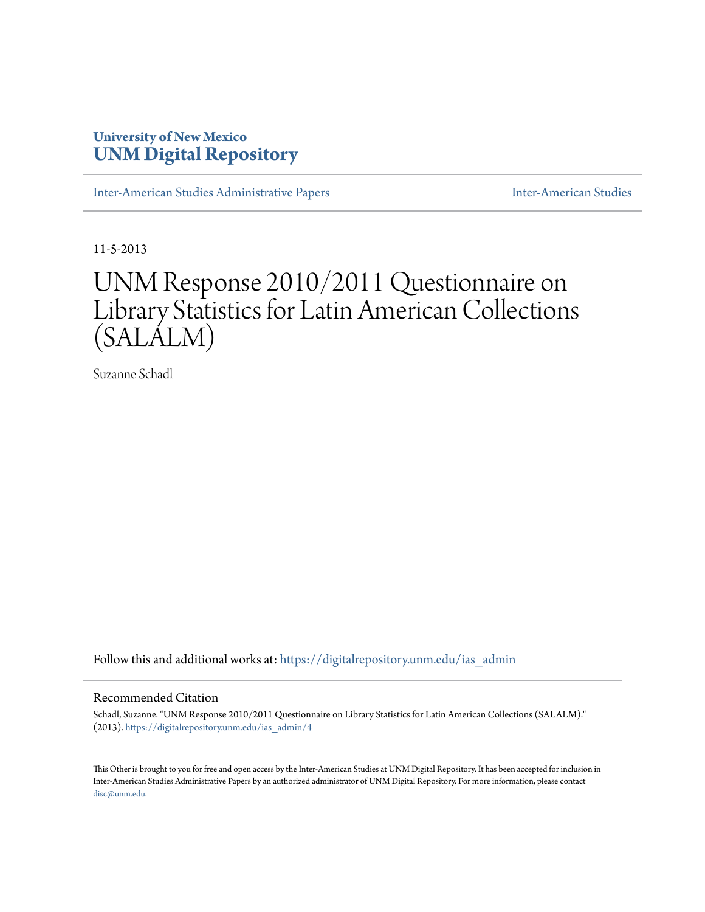## **University of New Mexico [UNM Digital Repository](https://digitalrepository.unm.edu?utm_source=digitalrepository.unm.edu%2Fias_admin%2F4&utm_medium=PDF&utm_campaign=PDFCoverPages)**

[Inter-American Studies Administrative Papers](https://digitalrepository.unm.edu/ias_admin?utm_source=digitalrepository.unm.edu%2Fias_admin%2F4&utm_medium=PDF&utm_campaign=PDFCoverPages) **[Inter-American Studies](https://digitalrepository.unm.edu/ias?utm_source=digitalrepository.unm.edu%2Fias_admin%2F4&utm_medium=PDF&utm_campaign=PDFCoverPages)** Inter-American Studies

11-5-2013

# UNM Response 2010/2011 Questionnaire on Library Statistics for Latin American Collections (SALALM)

Suzanne Schadl

Follow this and additional works at: [https://digitalrepository.unm.edu/ias\\_admin](https://digitalrepository.unm.edu/ias_admin?utm_source=digitalrepository.unm.edu%2Fias_admin%2F4&utm_medium=PDF&utm_campaign=PDFCoverPages)

#### Recommended Citation

Schadl, Suzanne. "UNM Response 2010/2011 Questionnaire on Library Statistics for Latin American Collections (SALALM)." (2013). [https://digitalrepository.unm.edu/ias\\_admin/4](https://digitalrepository.unm.edu/ias_admin/4?utm_source=digitalrepository.unm.edu%2Fias_admin%2F4&utm_medium=PDF&utm_campaign=PDFCoverPages)

This Other is brought to you for free and open access by the Inter-American Studies at UNM Digital Repository. It has been accepted for inclusion in Inter-American Studies Administrative Papers by an authorized administrator of UNM Digital Repository. For more information, please contact [disc@unm.edu](mailto:disc@unm.edu).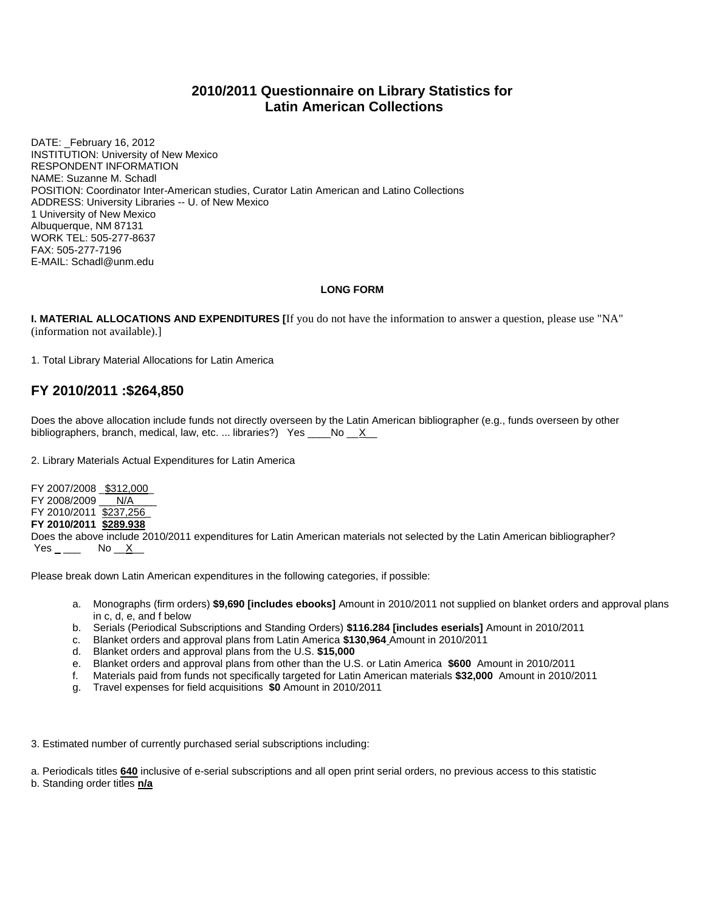## **2010/2011 Questionnaire on Library Statistics for Latin American Collections**

DATE: February 16, 2012 INSTITUTION: University of New Mexico RESPONDENT INFORMATION NAME: Suzanne M. Schadl POSITION: Coordinator Inter-American studies, Curator Latin American and Latino Collections ADDRESS: University Libraries -- U. of New Mexico 1 University of New Mexico Albuquerque, NM 87131 WORK TEL: 505-277-8637 FAX: 505-277-7196 E-MAIL: Schadl@unm.edu

#### **LONG FORM**

**I. MATERIAL ALLOCATIONS AND EXPENDITURES [**If you do not have the information to answer a question, please use "NA" (information not available).]

1. Total Library Material Allocations for Latin America

## **FY 2010/2011 :\$264,850**

Does the above allocation include funds not directly overseen by the Latin American bibliographer (e.g., funds overseen by other bibliographers, branch, medical, law, etc. ... libraries?) Yes  $\_\_\_\_No \_\_X\_\_$ 

2. Library Materials Actual Expenditures for Latin America

FY 2007/2008 \$312,000 FY 2008/2009 \_\_\_ N/A FY 2010/2011 \$237,256\_ **FY 2010/2011 \$289.938**  Does the above include 2010/2011 expenditures for Latin American materials not selected by the Latin American bibliographer?  $Yes_{\_}$  No  $X_{\_}$ 

Please break down Latin American expenditures in the following categories, if possible:

- a. Monographs (firm orders) **\$9,690 [includes ebooks]** Amount in 2010/2011 not supplied on blanket orders and approval plans in c, d, e, and f below
- b. Serials (Periodical Subscriptions and Standing Orders) **\$116.284 [includes eserials]** Amount in 2010/2011
- c. Blanket orders and approval plans from Latin America **\$130,964** Amount in 2010/2011
- 
- d. Blanket orders and approval plans from the U.S. **\$15,000** e. Blanket orders and approval plans from other than the U.S. or Latin America **\$600** Amount in 2010/2011
- f. Materials paid from funds not specifically targeted for Latin American materials **\$32,000** Amount in 2010/2011
- g. Travel expenses for field acquisitions **\$0** Amount in 2010/2011

3. Estimated number of currently purchased serial subscriptions including:

a. Periodicals titles **640** inclusive of e-serial subscriptions and all open print serial orders, no previous access to this statistic

b. Standing order titles **n/a**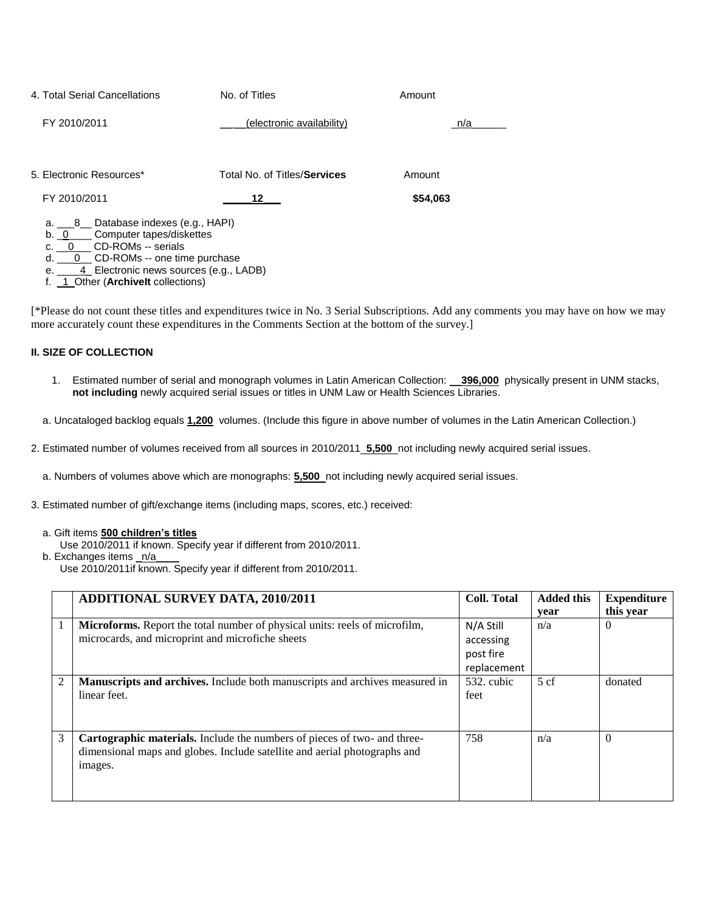| 4. Total Serial Cancellations                                                          | No. of Titles                | Amount   |
|----------------------------------------------------------------------------------------|------------------------------|----------|
| FY 2010/2011                                                                           | (electronic availability)    | n/a      |
| 5. Electronic Resources*                                                               | Total No. of Titles/Services | Amount   |
| FY 2010/2011                                                                           | 12                           | \$54,063 |
| a. 8 Database indexes (e.g., HAPI)<br>Computer tapes/diskettes<br>b. 0                 |                              |          |
| c. 0 CD-ROMs -- serials                                                                |                              |          |
| 0 CD-ROMs -- one time purchase<br>d.<br>4 Electronic news sources (e.g., LADB)<br>e. I |                              |          |

f. \_1\_Other (**ArchiveIt** collections)

[\*Please do not count these titles and expenditures twice in No. 3 Serial Subscriptions. Add any comments you may have on how we may more accurately count these expenditures in the Comments Section at the bottom of the survey.]

#### **II. SIZE OF COLLECTION**

- 1. Estimated number of serial and monograph volumes in Latin American Collection: \_\_**396,000** physically present in UNM stacks, **not including** newly acquired serial issues or titles in UNM Law or Health Sciences Libraries.
- a. Uncataloged backlog equals **1,200** volumes. (Include this figure in above number of volumes in the Latin American Collection.)
- 2. Estimated number of volumes received from all sources in 2010/2011 **5,500** not including newly acquired serial issues.

a. Numbers of volumes above which are monographs: **5,500** not including newly acquired serial issues.

- 3. Estimated number of gift/exchange items (including maps, scores, etc.) received:
	- a. Gift items **500 children's titles**
		- Use 2010/2011 if known. Specify year if different from 2010/2011.

b. Exchanges items \_n/a

Use 2010/2011if known. Specify year if different from 2010/2011.

|                | <b>ADDITIONAL SURVEY DATA, 2010/2011</b>                                                                                                                         | <b>Coll. Total</b>                                 | <b>Added this</b> | <b>Expenditure</b>    |
|----------------|------------------------------------------------------------------------------------------------------------------------------------------------------------------|----------------------------------------------------|-------------------|-----------------------|
|                | Microforms. Report the total number of physical units: reels of microfilm,<br>microcards, and microprint and microfiche sheets                                   | N/A Still<br>accessing<br>post fire<br>replacement | year<br>n/a       | this year<br>$\Omega$ |
| $\overline{c}$ | Manuscripts and archives. Include both manuscripts and archives measured in<br>linear feet.                                                                      | 532. cubic<br>feet                                 | 5cf               | donated               |
| 3              | Cartographic materials. Include the numbers of pieces of two- and three-<br>dimensional maps and globes. Include satellite and aerial photographs and<br>images. | 758                                                | n/a               | $\Omega$              |